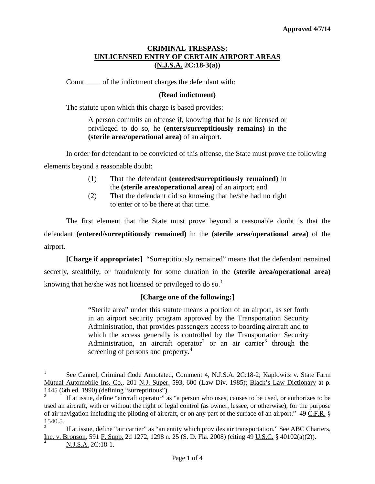# **CRIMINAL TRESPASS: UNLICENSED ENTRY OF CERTAIN AIRPORT AREAS (N.J.S.A. 2C:18-3(a))**

Count of the indictment charges the defendant with:

# **(Read indictment)**

The statute upon which this charge is based provides:

A person commits an offense if, knowing that he is not licensed or privileged to do so, he **(enters/surreptitiously remains)** in the **(sterile area/operational area)** of an airport.

In order for defendant to be convicted of this offense, the State must prove the following elements beyond a reasonable doubt:

- (1) That the defendant **(entered/surreptitiously remained)** in the **(sterile area/operational area)** of an airport; and
- (2) That the defendant did so knowing that he/she had no right to enter or to be there at that time.

The first element that the State must prove beyond a reasonable doubt is that the defendant **(entered/surreptitiously remained)** in the **(sterile area/operational area)** of the airport.

**[Charge if appropriate:]** "Surreptitiously remained" means that the defendant remained secretly, stealthily, or fraudulently for some duration in the **(sterile area/operational area)** knowing that he/she was not licensed or privileged to do so.<sup>[1](#page-0-0)</sup>

# **[Charge one of the following:]**

"Sterile area" under this statute means a portion of an airport, as set forth in an airport security program approved by the Transportation Security Administration, that provides passengers access to boarding aircraft and to which the access generally is controlled by the Transportation Security Administration, an aircraft operator<sup>[2](#page-0-1)</sup> or an air carrier<sup>[3](#page-0-2)</sup> through the screening of persons and property.<sup>[4](#page-0-3)</sup>

<span id="page-0-0"></span><sup>&</sup>lt;sup>1</sup> See Cannel, Criminal Code Annotated, Comment 4, N.J.S.A. 2C:18-2; Kaplowitz v. State Farm Mutual Automobile Ins. Co., 201 N.J. Super. 593, 600 (Law Div. 1985); Black's Law Dictionary at p. 1445 (6th ed. 1990) (defining "surreptitious").

<span id="page-0-1"></span><sup>2</sup> If at issue, define "aircraft operator" as "a person who uses, causes to be used, or authorizes to be used an aircraft, with or without the right of legal control (as owner, lessee, or otherwise), for the purpose of air navigation including the piloting of aircraft, or on any part of the surface of an airport." 49 C.F.R. §  $\frac{1540.5}{3}$ .

<span id="page-0-4"></span><span id="page-0-3"></span><span id="page-0-2"></span>If at issue, define "air carrier" as "an entity which provides air transportation." See ABC Charters, Inc. v. Bronson, 591 F. Supp. 2d 1272, 1298 n. 25 (S. D. Fla. 2008) (citing 49 U.S.C. § 40102(a)(2)).

<sup>4</sup> N.J.S.A. 2C:18-1.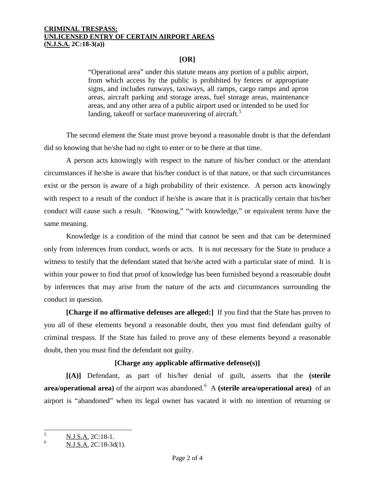#### **CRIMINAL TRESPASS: UNLICENSED ENTRY OF CERTAIN AIRPORT AREAS (N.J.S.A. 2C:18-3(a))**

# **[OR]**

"Operational area" under this statute means any portion of a public airport, from which access by the public is prohibited by fences or appropriate signs, and includes runways, taxiways, all ramps, cargo ramps and apron areas, aircraft parking and storage areas, fuel storage areas, maintenance areas, and any other area of a public airport used or intended to be used for landing, takeoff or surface maneuvering of aircraft.<sup>[5](#page-0-4)</sup>

The second element the State must prove beyond a reasonable doubt is that the defendant did so knowing that he/she had no right to enter or to be there at that time.

A person acts knowingly with respect to the nature of his/her conduct or the attendant circumstances if he/she is aware that his/her conduct is of that nature, or that such circumstances exist or the person is aware of a high probability of their existence. A person acts knowingly with respect to a result of the conduct if he/she is aware that it is practically certain that his/her conduct will cause such a result. "Knowing," "with knowledge," or equivalent terms have the same meaning.

Knowledge is a condition of the mind that cannot be seen and that can be determined only from inferences from conduct, words or acts. It is not necessary for the State to produce a witness to testify that the defendant stated that he/she acted with a particular state of mind. It is within your power to find that proof of knowledge has been furnished beyond a reasonable doubt by inferences that may arise from the nature of the acts and circumstances surrounding the conduct in question.

**[Charge if no affirmative defenses are alleged:]** If you find that the State has proven to you all of these elements beyond a reasonable doubt, then you must find defendant guilty of criminal trespass. If the State has failed to prove any of these elements beyond a reasonable doubt, then you must find the defendant not guilty.

# **[Charge any applicable affirmative defense(s)]**

**[(A)]** Defendant, as part of his/her denial of guilt, asserts that the **(sterile area/operational area)** of the airport was abandoned.<sup>[6](#page-1-0)</sup> A **(sterile area/operational area)** of an airport is "abandoned" when its legal owner has vacated it with no intention of returning or

<span id="page-1-1"></span> $\frac{5}{6}$  N.J.S.A. 2C:18-1.

<span id="page-1-0"></span><sup>6</sup> N.J.S.A. 2C:18-3d(1).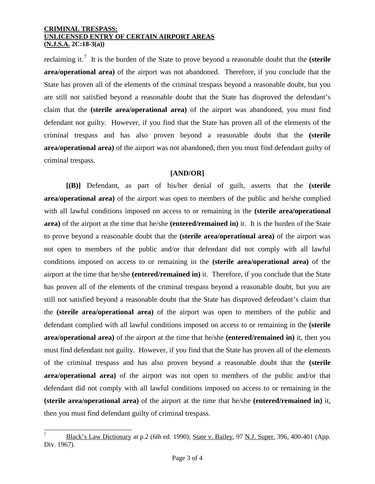### **CRIMINAL TRESPASS: UNLICENSED ENTRY OF CERTAIN AIRPORT AREAS (N.J.S.A. 2C:18-3(a))**

reclaiming it.<sup>[7](#page-1-1)</sup> It is the burden of the State to prove beyond a reasonable doubt that the **(sterile area/operational area)** of the airport was not abandoned. Therefore, if you conclude that the State has proven all of the elements of the criminal trespass beyond a reasonable doubt, but you are still not satisfied beyond a reasonable doubt that the State has disproved the defendant's claim that the **(sterile area/operational area)** of the airport was abandoned, you must find defendant not guilty. However, if you find that the State has proven all of the elements of the criminal trespass and has also proven beyond a reasonable doubt that the **(sterile area/operational area)** of the airport was not abandoned, then you must find defendant guilty of criminal trespass.

# **[AND/OR]**

**[(B)]** Defendant, as part of his/her denial of guilt, asserts that the **(sterile area/operational area)** of the airport was open to members of the public and he/she complied with all lawful conditions imposed on access to or remaining in the **(sterile area/operational area)** of the airport at the time that he/she **(entered/remained in)** it. It is the burden of the State to prove beyond a reasonable doubt that the **(sterile area/operational area)** of the airport was not open to members of the public and/or that defendant did not comply with all lawful conditions imposed on access to or remaining in the **(sterile area/operational area)** of the airport at the time that he/she **(entered/remained in)** it. Therefore, if you conclude that the State has proven all of the elements of the criminal trespass beyond a reasonable doubt, but you are still not satisfied beyond a reasonable doubt that the State has disproved defendant's claim that the **(sterile area/operational area)** of the airport was open to members of the public and defendant complied with all lawful conditions imposed on access to or remaining in the **(sterile area/operational area)** of the airport at the time that he/she **(entered/remained in)** it, then you must find defendant not guilty. However, if you find that the State has proven all of the elements of the criminal trespass and has also proven beyond a reasonable doubt that the **(sterile area/operational area)** of the airport was not open to members of the public and/or that defendant did not comply with all lawful conditions imposed on access to or remaining in the **(sterile area/operational area)** of the airport at the time that he/she **(entered/remained in)** it, then you must find defendant guilty of criminal trespass.

<span id="page-2-0"></span>Black's Law Dictionary at p.2 (6th ed. 1990); State v. Bailey, 97 N.J. Super. 396, 400-401 (App. Div. 1967).